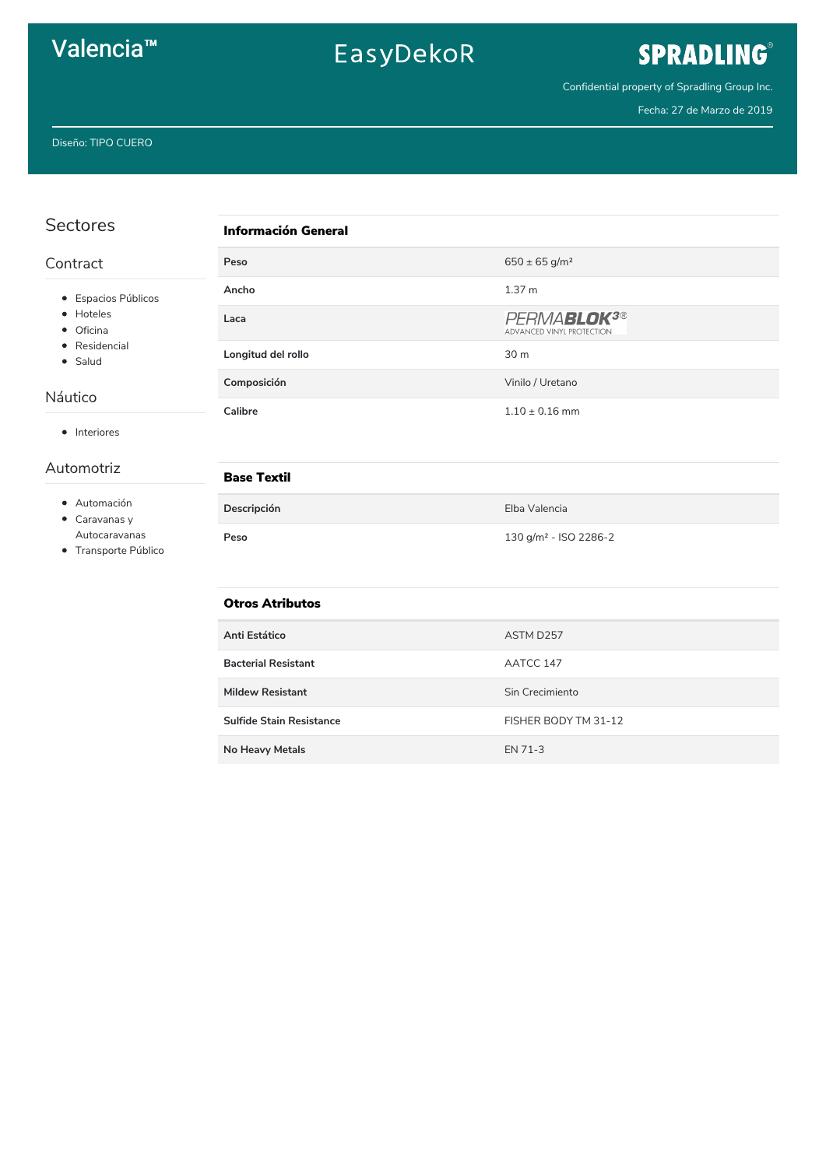## Valencia<sup>™</sup>

# EasyDekoR

# SPRADLING®

Confidential property of Spradling Group Inc.

Fecha: 27 de Marzo de 2019

| <b>Sectores</b>                                                                      | <b>Información General</b>      |                                                      |  |
|--------------------------------------------------------------------------------------|---------------------------------|------------------------------------------------------|--|
| Contract                                                                             | Peso                            | $650 \pm 65$ g/m <sup>2</sup>                        |  |
| · Espacios Públicos<br>• Hoteles<br>• Oficina<br>• Residencial<br>• Salud<br>Náutico | Ancho                           | 1.37 <sub>m</sub>                                    |  |
|                                                                                      | Laca                            | PERMABLOK <sup>3®</sup><br>ADVANCED VINYL PROTECTION |  |
|                                                                                      | Longitud del rollo              | 30 m                                                 |  |
|                                                                                      | Composición                     | Vinilo / Uretano                                     |  |
| • Interiores                                                                         | <b>Calibre</b>                  | $1.10 \pm 0.16$ mm                                   |  |
| Automotriz                                                                           | <b>Base Textil</b>              |                                                      |  |
| · Automación<br>$\bullet$ Caravanas y<br>Autocaravanas<br>• Transporte Público       | Descripción                     | Elba Valencia                                        |  |
|                                                                                      | Peso                            | 130 g/m <sup>2</sup> - ISO 2286-2                    |  |
|                                                                                      | <b>Otros Atributos</b>          |                                                      |  |
|                                                                                      | Anti Estático                   | ASTM D257                                            |  |
|                                                                                      | <b>Bacterial Resistant</b>      | AATCC 147                                            |  |
|                                                                                      | <b>Mildew Resistant</b>         | Sin Crecimiento                                      |  |
|                                                                                      | <b>Sulfide Stain Resistance</b> | FISHER BODY TM 31-12                                 |  |
|                                                                                      | <b>No Heavy Metals</b>          | EN 71-3                                              |  |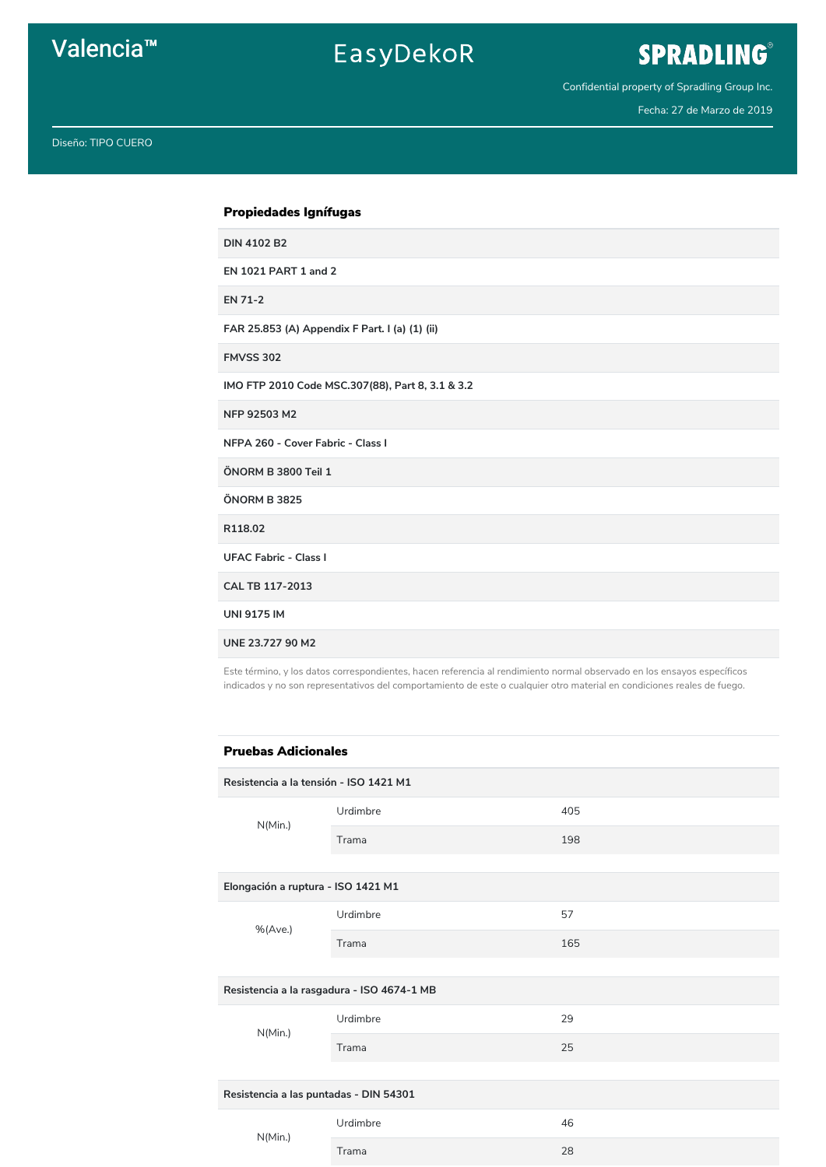### Valencia<sup>™</sup>

## EasyDekoR

## SPRADLING®

Confidential property of Spradling Group Inc.

Fecha: 27 de Marzo de 2019

Diseño: TIPO CUERO

#### Propiedades Ignífugas

**DIN 4102 B2** 

**EN 1021 PART 1 and 2** 

**EN 71-2** 

FAR 25.853 (A) Appendix F Part. I (a) (1) (ii)

**FMVSS 302** 

IMO FTP 2010 Code MSC.307(88), Part 8, 3.1 & 3.2

NFP 92503 M2

NFPA 260 - Cover Fabric - Class I

ÖNORM B 3800 Teil 1

ÖNORM B 3825

R118.02

**UFAC Fabric - Class I** 

CAL TB 117-2013

**UNI 9175 IM** 

UNE 23.727 90 M2

Este término, y los datos correspondientes, hacen referencia al rendimiento normal observado en los ensayos específicos indicados y no son representativos del comportamiento de este o cualquier otro material en condiciones reales de fuego.

#### **Pruebas Adicionales**

Resistencia a la tensión - ISO 1421 M1 Urdimbre 405  $N(Min.)$ Trama 198

| Elongación a ruptura - ISO 1421 M1         |          |     |  |  |
|--------------------------------------------|----------|-----|--|--|
| %(Ave.)                                    | Urdimbre | 57  |  |  |
|                                            | Trama    | 165 |  |  |
|                                            |          |     |  |  |
| Resistencia a la rasgadura - ISO 4674-1 MB |          |     |  |  |
| N(Min.)                                    | Urdimbre | 29  |  |  |
|                                            | Trama    | 25  |  |  |
|                                            |          |     |  |  |
| Resistencia a las puntadas - DIN 54301     |          |     |  |  |
| N(Min.)                                    | Urdimbre | 46  |  |  |
|                                            | Trama    | 28  |  |  |